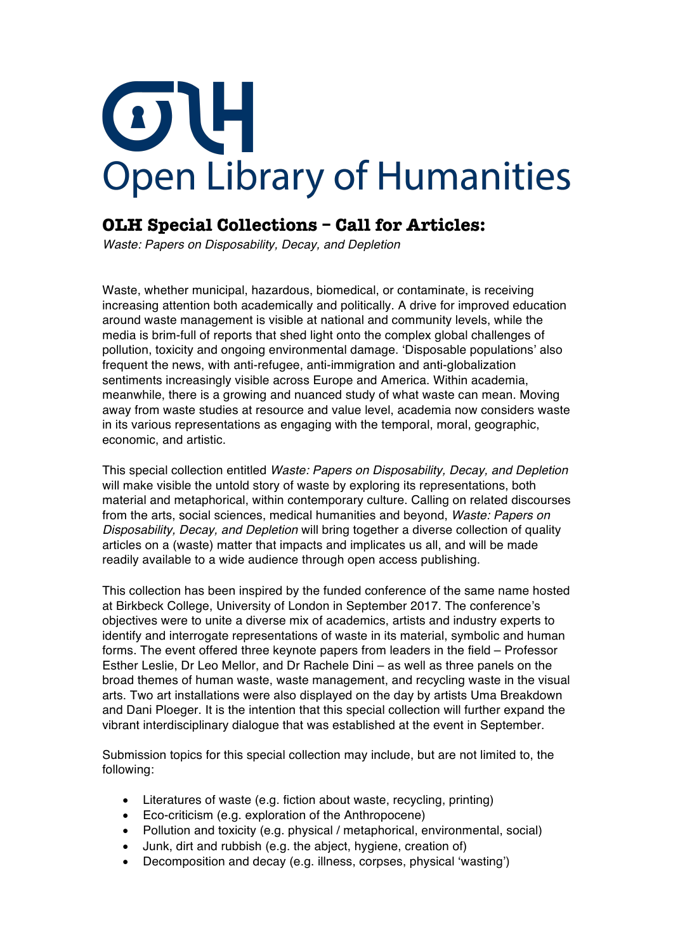## OH **Open Library of Humanities**

## **OLH Special Collections – Call for Articles:**

*Waste: Papers on Disposability, Decay, and Depletion*

Waste, whether municipal, hazardous, biomedical, or contaminate, is receiving increasing attention both academically and politically. A drive for improved education around waste management is visible at national and community levels, while the media is brim-full of reports that shed light onto the complex global challenges of pollution, toxicity and ongoing environmental damage. 'Disposable populations' also frequent the news, with anti-refugee, anti-immigration and anti-globalization sentiments increasingly visible across Europe and America. Within academia, meanwhile, there is a growing and nuanced study of what waste can mean. Moving away from waste studies at resource and value level, academia now considers waste in its various representations as engaging with the temporal, moral, geographic, economic, and artistic.

This special collection entitled *Waste: Papers on Disposability, Decay, and Depletion* will make visible the untold story of waste by exploring its representations, both material and metaphorical, within contemporary culture. Calling on related discourses from the arts, social sciences, medical humanities and beyond, *Waste: Papers on Disposability, Decay, and Depletion* will bring together a diverse collection of quality articles on a (waste) matter that impacts and implicates us all, and will be made readily available to a wide audience through open access publishing.

This collection has been inspired by the funded conference of the same name hosted at Birkbeck College, University of London in September 2017. The conference's objectives were to unite a diverse mix of academics, artists and industry experts to identify and interrogate representations of waste in its material, symbolic and human forms. The event offered three keynote papers from leaders in the field – Professor Esther Leslie, Dr Leo Mellor, and Dr Rachele Dini – as well as three panels on the broad themes of human waste, waste management, and recycling waste in the visual arts. Two art installations were also displayed on the day by artists Uma Breakdown and Dani Ploeger. It is the intention that this special collection will further expand the vibrant interdisciplinary dialogue that was established at the event in September.

Submission topics for this special collection may include, but are not limited to, the following:

- Literatures of waste (e.g. fiction about waste, recycling, printing)
- Eco-criticism (e.g. exploration of the Anthropocene)
- Pollution and toxicity (e.g. physical / metaphorical, environmental, social)
- Junk, dirt and rubbish (e.g. the abject, hygiene, creation of)
- Decomposition and decay (e.g. illness, corpses, physical 'wasting')